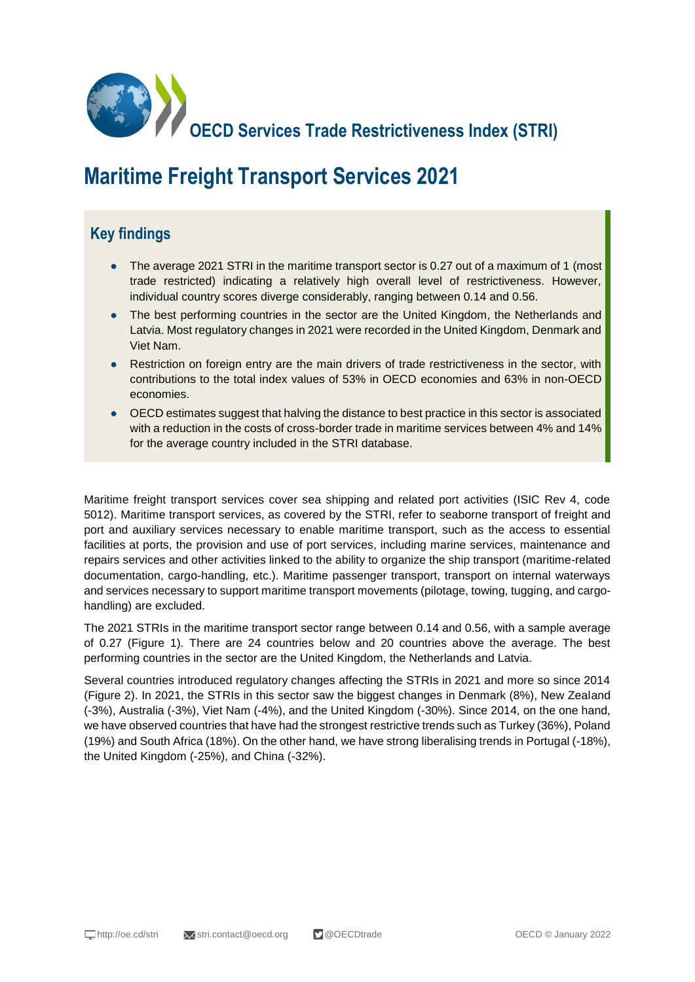

# **Maritime Freight Transport Services 2021**

## **Key findings**

- The average 2021 STRI in the maritime transport sector is 0.27 out of a maximum of 1 (most trade restricted) indicating a relatively high overall level of restrictiveness. However, individual country scores diverge considerably, ranging between 0.14 and 0.56.
- The best performing countries in the sector are the United Kingdom, the Netherlands and Latvia. Most regulatory changes in 2021 were recorded in the United Kingdom, Denmark and Viet Nam.
- Restriction on foreign entry are the main drivers of trade restrictiveness in the sector, with contributions to the total index values of 53% in OECD economies and 63% in non-OECD economies.
- OECD estimates suggest that halving the distance to best practice in this sector is associated with a reduction in the costs of cross-border trade in maritime services between 4% and 14% for the average country included in the STRI database.

Maritime freight transport services cover sea shipping and related port activities (ISIC Rev 4, code 5012). Maritime transport services, as covered by the STRI, refer to seaborne transport of freight and port and auxiliary services necessary to enable maritime transport, such as the access to essential facilities at ports, the provision and use of port services, including marine services, maintenance and repairs services and other activities linked to the ability to organize the ship transport (maritime-related documentation, cargo-handling, etc.). Maritime passenger transport, transport on internal waterways and services necessary to support maritime transport movements (pilotage, towing, tugging, and cargohandling) are excluded.

The 2021 STRIs in the maritime transport sector range between 0.14 and 0.56, with a sample average of 0.27 (Figure 1). There are 24 countries below and 20 countries above the average. The best performing countries in the sector are the United Kingdom, the Netherlands and Latvia.

Several countries introduced regulatory changes affecting the STRIs in 2021 and more so since 2014 (Figure 2). In 2021, the STRIs in this sector saw the biggest changes in Denmark (8%), New Zealand (-3%), Australia (-3%), Viet Nam (-4%), and the United Kingdom (-30%). Since 2014, on the one hand, we have observed countries that have had the strongest restrictive trends such as Turkey (36%), Poland (19%) and South Africa (18%). On the other hand, we have strong liberalising trends in Portugal (-18%), the United Kingdom (-25%), and China (-32%).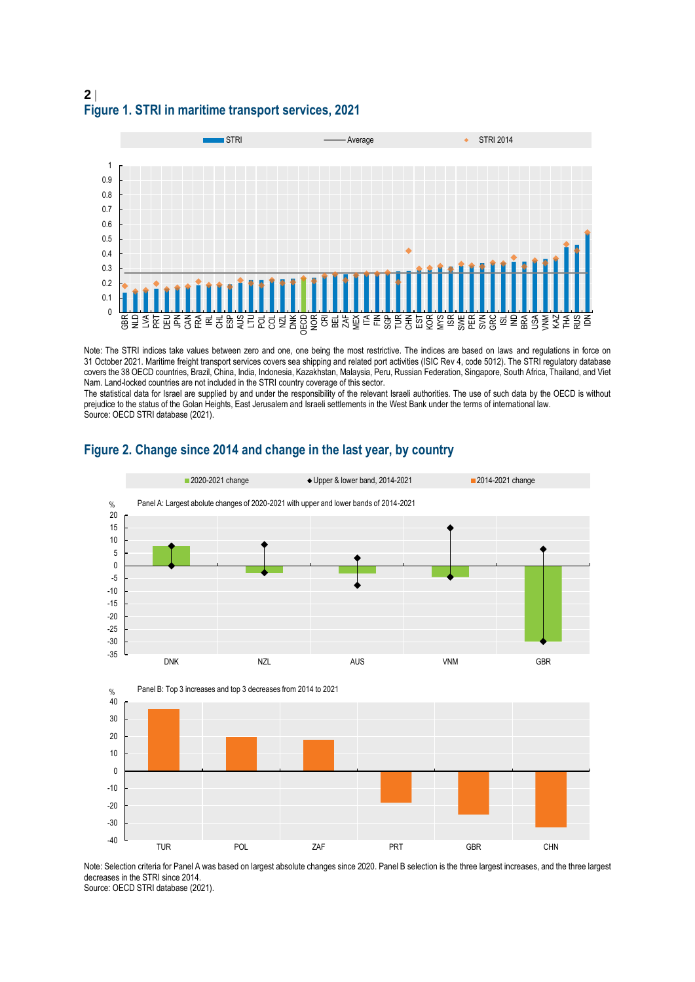### **2 Figure 1. STRI in maritime transport services, 2021**



Note: The STRI indices take values between zero and one, one being the most restrictive. The indices are based on laws and regulations in force on 31 October 2021. Maritime freight transport services covers sea shipping and related port activities (ISIC Rev 4, code 5012). The STRI regulatory database covers the 38 OECD countries, Brazil, China, India, Indonesia, Kazakhstan, Malaysia, Peru, Russian Federation, Singapore, South Africa, Thailand, and Viet Nam. Land-locked countries are not included in the STRI country coverage of this sector.

The statistical data for Israel are supplied by and under the responsibility of the relevant Israeli authorities. The use of such data by the OECD is without prejudice to the status of the Golan Heights, East Jerusalem and Israeli settlements in the West Bank under the terms of international law. Source: OECD STRI database (2021).



#### **Figure 2. Change since 2014 and change in the last year, by country**

Note: Selection criteria for Panel A was based on largest absolute changes since 2020. Panel B selection is the three largest increases, and the three largest decreases in the STRI since 2014. Source: OECD STRI database (2021).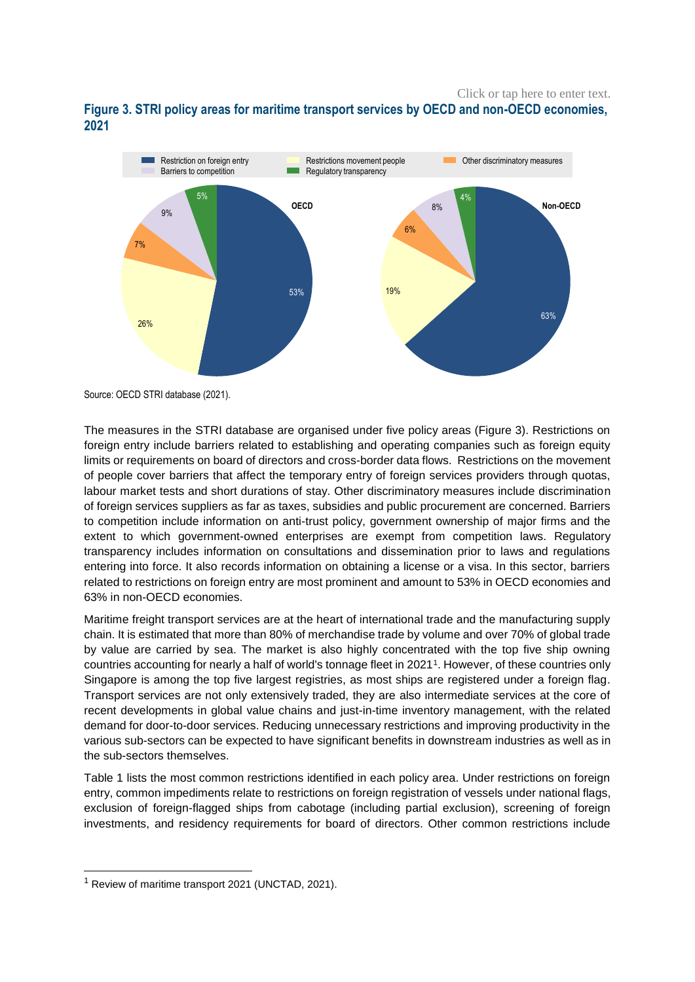Click or tap here to enter text.





Source: OECD STRI database (2021).

The measures in the STRI database are organised under five policy areas (Figure 3). Restrictions on foreign entry include barriers related to establishing and operating companies such as foreign equity limits or requirements on board of directors and cross-border data flows. Restrictions on the movement of people cover barriers that affect the temporary entry of foreign services providers through quotas, labour market tests and short durations of stay. Other discriminatory measures include discrimination of foreign services suppliers as far as taxes, subsidies and public procurement are concerned. Barriers to competition include information on anti-trust policy, government ownership of major firms and the extent to which government-owned enterprises are exempt from competition laws. Regulatory transparency includes information on consultations and dissemination prior to laws and regulations entering into force. It also records information on obtaining a license or a visa. In this sector, barriers related to restrictions on foreign entry are most prominent and amount to 53% in OECD economies and 63% in non-OECD economies.

Maritime freight transport services are at the heart of international trade and the manufacturing supply chain. It is estimated that more than 80% of merchandise trade by volume and over 70% of global trade by value are carried by sea. The market is also highly concentrated with the top five ship owning countries accounting for nearly a half of world's tonnage fleet in 2021<sup>1</sup> . However, of these countries only Singapore is among the top five largest registries, as most ships are registered under a foreign flag. Transport services are not only extensively traded, they are also intermediate services at the core of recent developments in global value chains and just-in-time inventory management, with the related demand for door-to-door services. Reducing unnecessary restrictions and improving productivity in the various sub-sectors can be expected to have significant benefits in downstream industries as well as in the sub-sectors themselves.

Table 1 lists the most common restrictions identified in each policy area. Under restrictions on foreign entry, common impediments relate to restrictions on foreign registration of vessels under national flags, exclusion of foreign-flagged ships from cabotage (including partial exclusion), screening of foreign investments, and residency requirements for board of directors. Other common restrictions include

1

 $<sup>1</sup>$  Review of maritime transport 2021 (UNCTAD, 2021).</sup>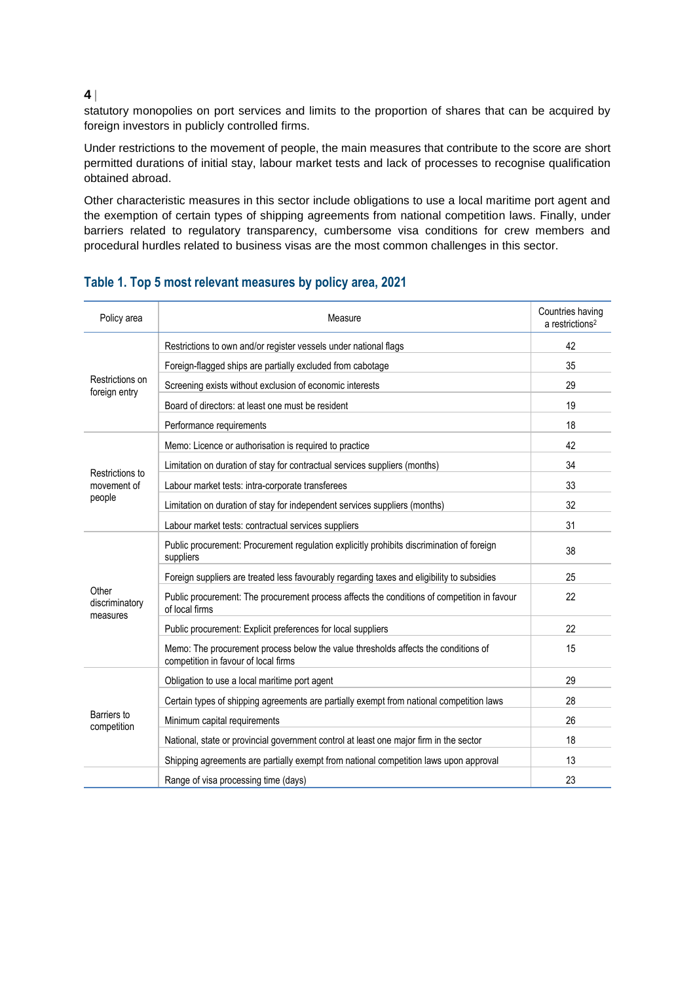#### **4**

statutory monopolies on port services and limits to the proportion of shares that can be acquired by foreign investors in publicly controlled firms.

Under restrictions to the movement of people, the main measures that contribute to the score are short permitted durations of initial stay, labour market tests and lack of processes to recognise qualification obtained abroad.

Other characteristic measures in this sector include obligations to use a local maritime port agent and the exemption of certain types of shipping agreements from national competition laws. Finally, under barriers related to regulatory transparency, cumbersome visa conditions for crew members and procedural hurdles related to business visas are the most common challenges in this sector.

| Policy area                              | Measure                                                                                                                    | Countries having<br>$a$ restrictions <sup>2</sup> |
|------------------------------------------|----------------------------------------------------------------------------------------------------------------------------|---------------------------------------------------|
| Restrictions on<br>foreign entry         | Restrictions to own and/or register vessels under national flags                                                           | 42                                                |
|                                          | Foreign-flagged ships are partially excluded from cabotage                                                                 | 35                                                |
|                                          | Screening exists without exclusion of economic interests                                                                   | 29                                                |
|                                          | Board of directors: at least one must be resident                                                                          | 19                                                |
|                                          | Performance requirements                                                                                                   | 18                                                |
| Restrictions to<br>movement of<br>people | Memo: Licence or authorisation is required to practice                                                                     | 42                                                |
|                                          | Limitation on duration of stay for contractual services suppliers (months)                                                 | 34                                                |
|                                          | Labour market tests: intra-corporate transferees                                                                           | 33                                                |
|                                          | Limitation on duration of stay for independent services suppliers (months)                                                 | 32                                                |
|                                          | Labour market tests: contractual services suppliers                                                                        | 31                                                |
| Other<br>discriminatory<br>measures      | Public procurement: Procurement regulation explicitly prohibits discrimination of foreign<br>suppliers                     | 38                                                |
|                                          | Foreign suppliers are treated less favourably regarding taxes and eligibility to subsidies                                 | 25                                                |
|                                          | Public procurement: The procurement process affects the conditions of competition in favour<br>of local firms              | 22                                                |
|                                          | Public procurement: Explicit preferences for local suppliers                                                               | 22                                                |
|                                          | Memo: The procurement process below the value thresholds affects the conditions of<br>competition in favour of local firms | 15                                                |
| Barriers to<br>competition               | Obligation to use a local maritime port agent                                                                              | 29                                                |
|                                          | Certain types of shipping agreements are partially exempt from national competition laws                                   | 28                                                |
|                                          | Minimum capital requirements                                                                                               | 26                                                |
|                                          | National, state or provincial government control at least one major firm in the sector                                     | 18                                                |
|                                          | Shipping agreements are partially exempt from national competition laws upon approval                                      | 13                                                |
|                                          | Range of visa processing time (days)                                                                                       | 23                                                |

#### **Table 1. Top 5 most relevant measures by policy area, 2021**